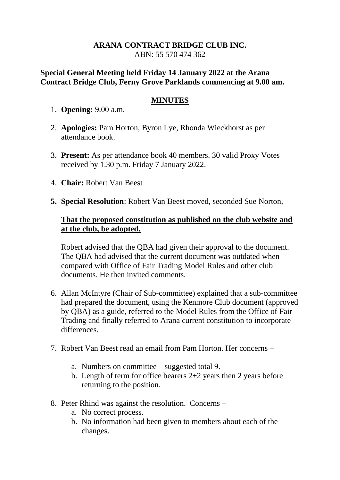## **ARANA CONTRACT BRIDGE CLUB INC.** ABN: 55 570 474 362

## **Special General Meeting held Friday 14 January 2022 at the Arana Contract Bridge Club, Ferny Grove Parklands commencing at 9.00 am.**

## **MINUTES**

- 1. **Opening:** 9.00 a.m.
- 2. **Apologies:** Pam Horton, Byron Lye, Rhonda Wieckhorst as per attendance book.
- 3. **Present:** As per attendance book 40 members. 30 valid Proxy Votes received by 1.30 p.m. Friday 7 January 2022.
- 4. **Chair:** Robert Van Beest
- **5. Special Resolution**: Robert Van Beest moved, seconded Sue Norton,

## **That the proposed constitution as published on the club website and at the club, be adopted.**

Robert advised that the QBA had given their approval to the document. The QBA had advised that the current document was outdated when compared with Office of Fair Trading Model Rules and other club documents. He then invited comments.

- 6. Allan McIntyre (Chair of Sub-committee) explained that a sub-committee had prepared the document, using the Kenmore Club document (approved by QBA) as a guide, referred to the Model Rules from the Office of Fair Trading and finally referred to Arana current constitution to incorporate differences.
- 7. Robert Van Beest read an email from Pam Horton. Her concerns
	- a. Numbers on committee suggested total 9.
	- b. Length of term for office bearers 2+2 years then 2 years before returning to the position.
- 8. Peter Rhind was against the resolution. Concerns
	- a. No correct process.
	- b. No information had been given to members about each of the changes.